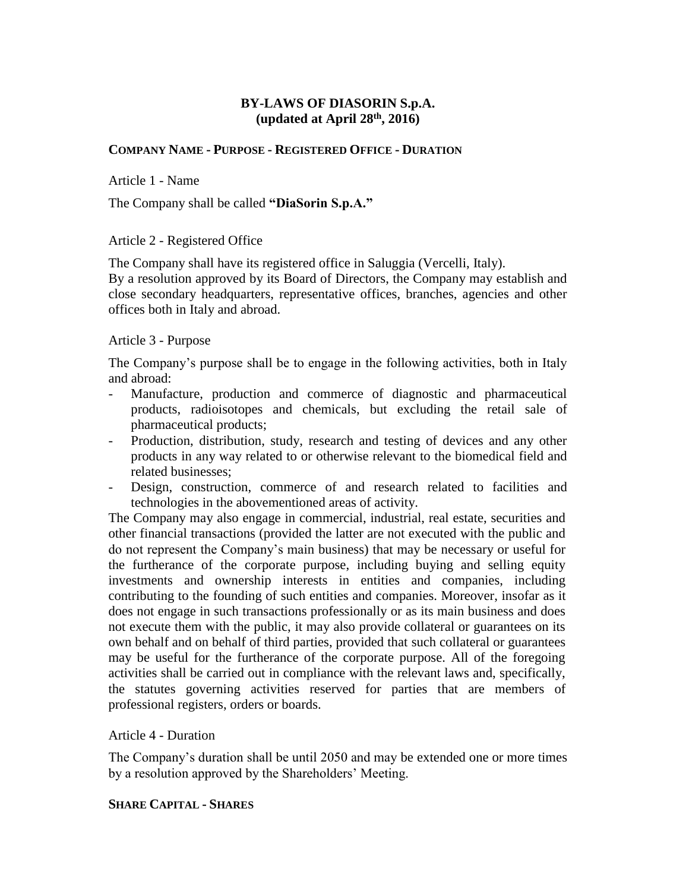### **BY-LAWS OF DIASORIN S.p.A. (updated at April 28th, 2016)**

#### **COMPANY NAME - PURPOSE - REGISTERED OFFICE - DURATION**

Article 1 - Name

The Company shall be called **"DiaSorin S.p.A."**

Article 2 - Registered Office

The Company shall have its registered office in Saluggia (Vercelli, Italy).

By a resolution approved by its Board of Directors, the Company may establish and close secondary headquarters, representative offices, branches, agencies and other offices both in Italy and abroad.

#### Article 3 - Purpose

The Company's purpose shall be to engage in the following activities, both in Italy and abroad:

- Manufacture, production and commerce of diagnostic and pharmaceutical products, radioisotopes and chemicals, but excluding the retail sale of pharmaceutical products;
- Production, distribution, study, research and testing of devices and any other products in any way related to or otherwise relevant to the biomedical field and related businesses;
- Design, construction, commerce of and research related to facilities and technologies in the abovementioned areas of activity.

The Company may also engage in commercial, industrial, real estate, securities and other financial transactions (provided the latter are not executed with the public and do not represent the Company's main business) that may be necessary or useful for the furtherance of the corporate purpose, including buying and selling equity investments and ownership interests in entities and companies, including contributing to the founding of such entities and companies. Moreover, insofar as it does not engage in such transactions professionally or as its main business and does not execute them with the public, it may also provide collateral or guarantees on its own behalf and on behalf of third parties, provided that such collateral or guarantees may be useful for the furtherance of the corporate purpose. All of the foregoing activities shall be carried out in compliance with the relevant laws and, specifically, the statutes governing activities reserved for parties that are members of professional registers, orders or boards.

#### Article 4 - Duration

The Company's duration shall be until 2050 and may be extended one or more times by a resolution approved by the Shareholders' Meeting.

#### **SHARE CAPITAL - SHARES**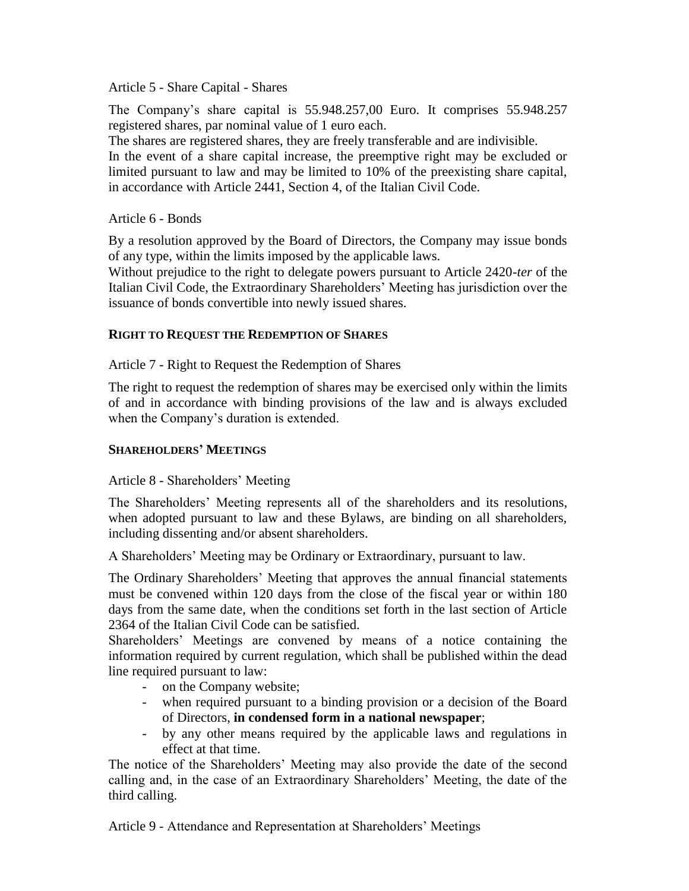### Article 5 - Share Capital - Shares

The Company's share capital is 55.948.257,00 Euro. It comprises 55.948.257 registered shares, par nominal value of 1 euro each.

The shares are registered shares, they are freely transferable and are indivisible.

In the event of a share capital increase, the preemptive right may be excluded or limited pursuant to law and may be limited to 10% of the preexisting share capital, in accordance with Article 2441, Section 4, of the Italian Civil Code.

#### Article 6 - Bonds

By a resolution approved by the Board of Directors, the Company may issue bonds of any type, within the limits imposed by the applicable laws.

Without prejudice to the right to delegate powers pursuant to Article 2420-*ter* of the Italian Civil Code, the Extraordinary Shareholders' Meeting has jurisdiction over the issuance of bonds convertible into newly issued shares.

### **RIGHT TO REQUEST THE REDEMPTION OF SHARES**

Article 7 - Right to Request the Redemption of Shares

The right to request the redemption of shares may be exercised only within the limits of and in accordance with binding provisions of the law and is always excluded when the Company's duration is extended.

### **SHAREHOLDERS' MEETINGS**

### Article 8 - Shareholders' Meeting

The Shareholders' Meeting represents all of the shareholders and its resolutions, when adopted pursuant to law and these Bylaws, are binding on all shareholders, including dissenting and/or absent shareholders.

A Shareholders' Meeting may be Ordinary or Extraordinary, pursuant to law.

The Ordinary Shareholders' Meeting that approves the annual financial statements must be convened within 120 days from the close of the fiscal year or within 180 days from the same date, when the conditions set forth in the last section of Article 2364 of the Italian Civil Code can be satisfied.

Shareholders' Meetings are convened by means of a notice containing the information required by current regulation, which shall be published within the dead line required pursuant to law:

- on the Company website;
- when required pursuant to a binding provision or a decision of the Board of Directors, **in condensed form in a national newspaper**;
- by any other means required by the applicable laws and regulations in effect at that time.

The notice of the Shareholders' Meeting may also provide the date of the second calling and, in the case of an Extraordinary Shareholders' Meeting, the date of the third calling.

Article 9 - Attendance and Representation at Shareholders' Meetings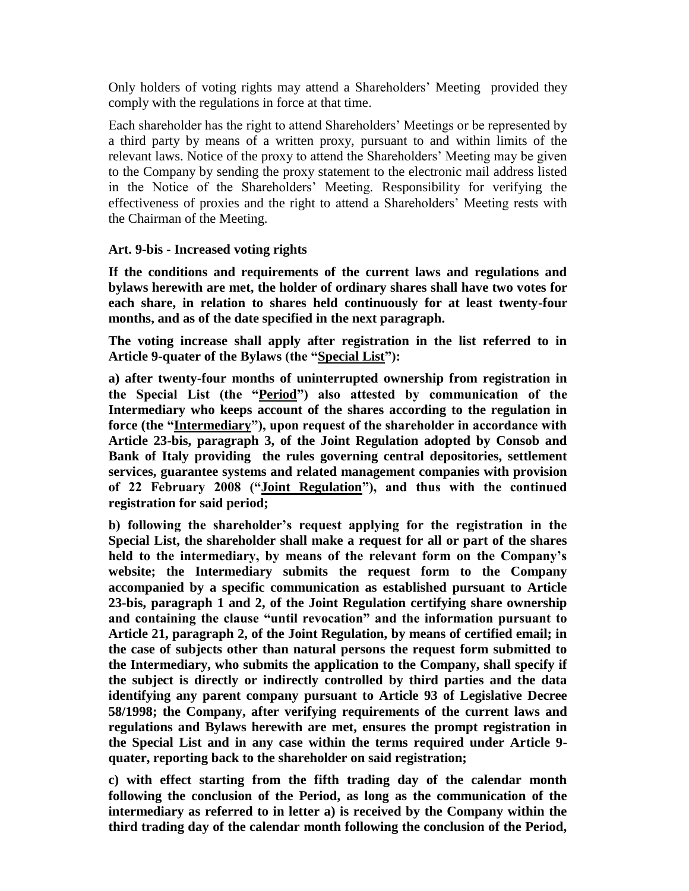Only holders of voting rights may attend a Shareholders' Meeting provided they comply with the regulations in force at that time.

Each shareholder has the right to attend Shareholders' Meetings or be represented by a third party by means of a written proxy, pursuant to and within limits of the relevant laws. Notice of the proxy to attend the Shareholders' Meeting may be given to the Company by sending the proxy statement to the electronic mail address listed in the Notice of the Shareholders' Meeting. Responsibility for verifying the effectiveness of proxies and the right to attend a Shareholders' Meeting rests with the Chairman of the Meeting.

### **Art. 9-bis - Increased voting rights**

**If the conditions and requirements of the current laws and regulations and bylaws herewith are met, the holder of ordinary shares shall have two votes for each share, in relation to shares held continuously for at least twenty-four months, and as of the date specified in the next paragraph.** 

**The voting increase shall apply after registration in the list referred to in Article 9-quater of the Bylaws (the "Special List"):** 

**a) after twenty-four months of uninterrupted ownership from registration in the Special List (the "Period") also attested by communication of the Intermediary who keeps account of the shares according to the regulation in force (the "Intermediary"), upon request of the shareholder in accordance with Article 23-bis, paragraph 3, of the Joint Regulation adopted by Consob and Bank of Italy providing the rules governing central depositories, settlement services, guarantee systems and related management companies with provision of 22 February 2008 ("Joint Regulation"), and thus with the continued registration for said period;** 

**b) following the shareholder's request applying for the registration in the Special List, the shareholder shall make a request for all or part of the shares held to the intermediary, by means of the relevant form on the Company's website; the Intermediary submits the request form to the Company accompanied by a specific communication as established pursuant to Article 23-bis, paragraph 1 and 2, of the Joint Regulation certifying share ownership and containing the clause "until revocation" and the information pursuant to Article 21, paragraph 2, of the Joint Regulation, by means of certified email; in the case of subjects other than natural persons the request form submitted to the Intermediary, who submits the application to the Company, shall specify if the subject is directly or indirectly controlled by third parties and the data identifying any parent company pursuant to Article 93 of Legislative Decree 58/1998; the Company, after verifying requirements of the current laws and regulations and Bylaws herewith are met, ensures the prompt registration in the Special List and in any case within the terms required under Article 9 quater, reporting back to the shareholder on said registration;** 

**c) with effect starting from the fifth trading day of the calendar month following the conclusion of the Period, as long as the communication of the intermediary as referred to in letter a) is received by the Company within the third trading day of the calendar month following the conclusion of the Period,**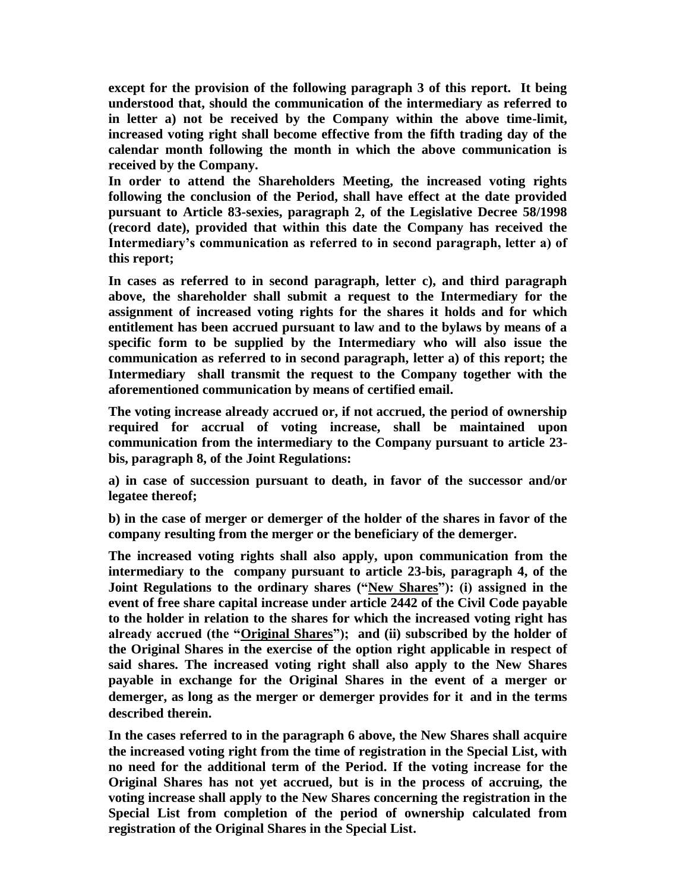**except for the provision of the following paragraph 3 of this report. It being understood that, should the communication of the intermediary as referred to in letter a) not be received by the Company within the above time-limit, increased voting right shall become effective from the fifth trading day of the calendar month following the month in which the above communication is received by the Company.** 

**In order to attend the Shareholders Meeting, the increased voting rights following the conclusion of the Period, shall have effect at the date provided pursuant to Article 83-sexies, paragraph 2, of the Legislative Decree 58/1998 (record date), provided that within this date the Company has received the Intermediary's communication as referred to in second paragraph, letter a) of this report;**

**In cases as referred to in second paragraph, letter c), and third paragraph above, the shareholder shall submit a request to the Intermediary for the assignment of increased voting rights for the shares it holds and for which entitlement has been accrued pursuant to law and to the bylaws by means of a specific form to be supplied by the Intermediary who will also issue the communication as referred to in second paragraph, letter a) of this report; the Intermediary shall transmit the request to the Company together with the aforementioned communication by means of certified email.** 

**The voting increase already accrued or, if not accrued, the period of ownership required for accrual of voting increase, shall be maintained upon communication from the intermediary to the Company pursuant to article 23 bis, paragraph 8, of the Joint Regulations:**

**a) in case of succession pursuant to death, in favor of the successor and/or legatee thereof;**

**b) in the case of merger or demerger of the holder of the shares in favor of the company resulting from the merger or the beneficiary of the demerger.**

**The increased voting rights shall also apply, upon communication from the intermediary to the company pursuant to article 23-bis, paragraph 4, of the**  Joint Regulations to the ordinary shares ("New Shares"): (i) assigned in the **event of free share capital increase under article 2442 of the Civil Code payable to the holder in relation to the shares for which the increased voting right has already accrued (the "Original Shares"); and (ii) subscribed by the holder of the Original Shares in the exercise of the option right applicable in respect of said shares. The increased voting right shall also apply to the New Shares payable in exchange for the Original Shares in the event of a merger or demerger, as long as the merger or demerger provides for it and in the terms described therein.**

**In the cases referred to in the paragraph 6 above, the New Shares shall acquire the increased voting right from the time of registration in the Special List, with no need for the additional term of the Period. If the voting increase for the Original Shares has not yet accrued, but is in the process of accruing, the voting increase shall apply to the New Shares concerning the registration in the Special List from completion of the period of ownership calculated from registration of the Original Shares in the Special List.**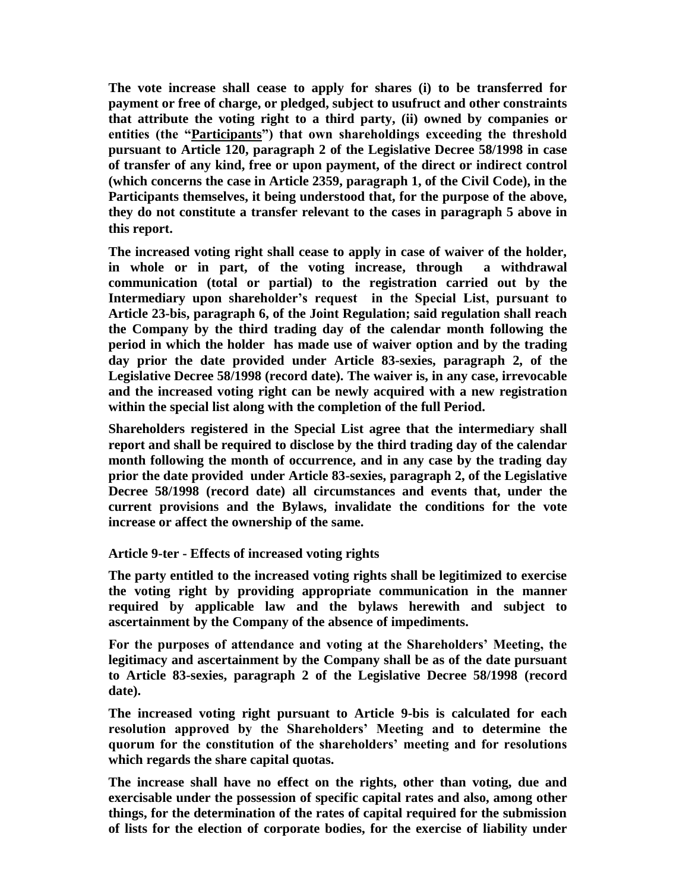**The vote increase shall cease to apply for shares (i) to be transferred for payment or free of charge, or pledged, subject to usufruct and other constraints that attribute the voting right to a third party, (ii) owned by companies or entities (the "Participants") that own shareholdings exceeding the threshold pursuant to Article 120, paragraph 2 of the Legislative Decree 58/1998 in case of transfer of any kind, free or upon payment, of the direct or indirect control (which concerns the case in Article 2359, paragraph 1, of the Civil Code), in the Participants themselves, it being understood that, for the purpose of the above, they do not constitute a transfer relevant to the cases in paragraph 5 above in this report.**

**The increased voting right shall cease to apply in case of waiver of the holder, in whole or in part, of the voting increase, through a withdrawal communication (total or partial) to the registration carried out by the Intermediary upon shareholder's request in the Special List, pursuant to Article 23-bis, paragraph 6, of the Joint Regulation; said regulation shall reach the Company by the third trading day of the calendar month following the period in which the holder has made use of waiver option and by the trading day prior the date provided under Article 83-sexies, paragraph 2, of the Legislative Decree 58/1998 (record date). The waiver is, in any case, irrevocable and the increased voting right can be newly acquired with a new registration within the special list along with the completion of the full Period.** 

**Shareholders registered in the Special List agree that the intermediary shall report and shall be required to disclose by the third trading day of the calendar month following the month of occurrence, and in any case by the trading day prior the date provided under Article 83-sexies, paragraph 2, of the Legislative Decree 58/1998 (record date) all circumstances and events that, under the current provisions and the Bylaws, invalidate the conditions for the vote increase or affect the ownership of the same.**

### **Article 9-ter - Effects of increased voting rights**

**The party entitled to the increased voting rights shall be legitimized to exercise the voting right by providing appropriate communication in the manner required by applicable law and the bylaws herewith and subject to ascertainment by the Company of the absence of impediments.** 

**For the purposes of attendance and voting at the Shareholders' Meeting, the legitimacy and ascertainment by the Company shall be as of the date pursuant to Article 83-sexies, paragraph 2 of the Legislative Decree 58/1998 (record date).**

**The increased voting right pursuant to Article 9-bis is calculated for each resolution approved by the Shareholders' Meeting and to determine the quorum for the constitution of the shareholders' meeting and for resolutions which regards the share capital quotas.** 

**The increase shall have no effect on the rights, other than voting, due and exercisable under the possession of specific capital rates and also, among other things, for the determination of the rates of capital required for the submission of lists for the election of corporate bodies, for the exercise of liability under**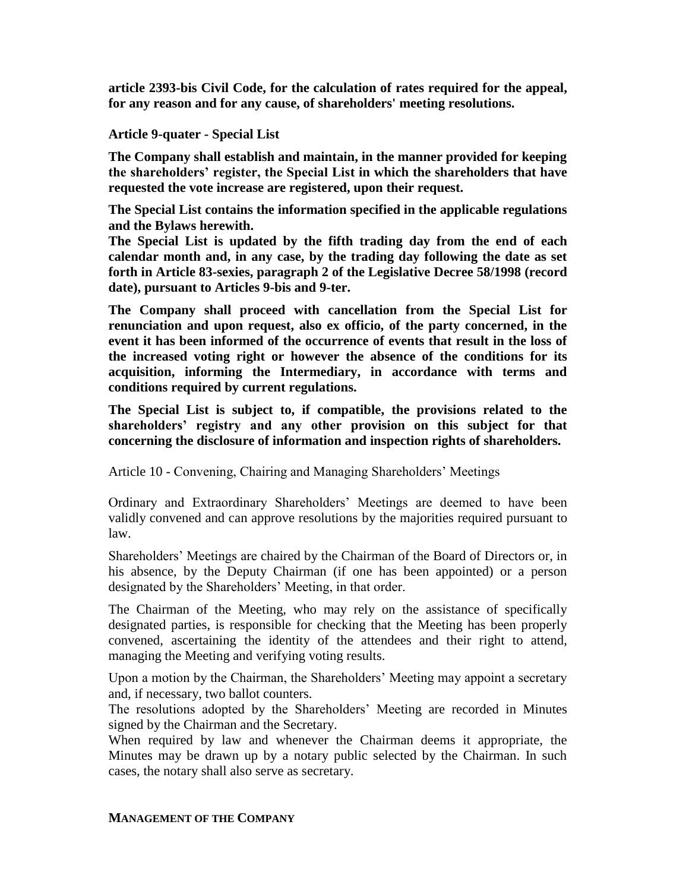**article 2393-bis Civil Code, for the calculation of rates required for the appeal, for any reason and for any cause, of shareholders' meeting resolutions.**

## **Article 9-quater - Special List**

**The Company shall establish and maintain, in the manner provided for keeping the shareholders' register, the Special List in which the shareholders that have requested the vote increase are registered, upon their request.** 

**The Special List contains the information specified in the applicable regulations and the Bylaws herewith.**

**The Special List is updated by the fifth trading day from the end of each calendar month and, in any case, by the trading day following the date as set forth in Article 83-sexies, paragraph 2 of the Legislative Decree 58/1998 (record date), pursuant to Articles 9-bis and 9-ter.**

**The Company shall proceed with cancellation from the Special List for renunciation and upon request, also ex officio, of the party concerned, in the event it has been informed of the occurrence of events that result in the loss of the increased voting right or however the absence of the conditions for its acquisition, informing the Intermediary, in accordance with terms and conditions required by current regulations.**

**The Special List is subject to, if compatible, the provisions related to the shareholders' registry and any other provision on this subject for that concerning the disclosure of information and inspection rights of shareholders.**

Article 10 - Convening, Chairing and Managing Shareholders' Meetings

Ordinary and Extraordinary Shareholders' Meetings are deemed to have been validly convened and can approve resolutions by the majorities required pursuant to law.

Shareholders' Meetings are chaired by the Chairman of the Board of Directors or, in his absence, by the Deputy Chairman (if one has been appointed) or a person designated by the Shareholders' Meeting, in that order.

The Chairman of the Meeting, who may rely on the assistance of specifically designated parties, is responsible for checking that the Meeting has been properly convened, ascertaining the identity of the attendees and their right to attend, managing the Meeting and verifying voting results.

Upon a motion by the Chairman, the Shareholders' Meeting may appoint a secretary and, if necessary, two ballot counters.

The resolutions adopted by the Shareholders' Meeting are recorded in Minutes signed by the Chairman and the Secretary.

When required by law and whenever the Chairman deems it appropriate, the Minutes may be drawn up by a notary public selected by the Chairman. In such cases, the notary shall also serve as secretary.

### **MANAGEMENT OF THE COMPANY**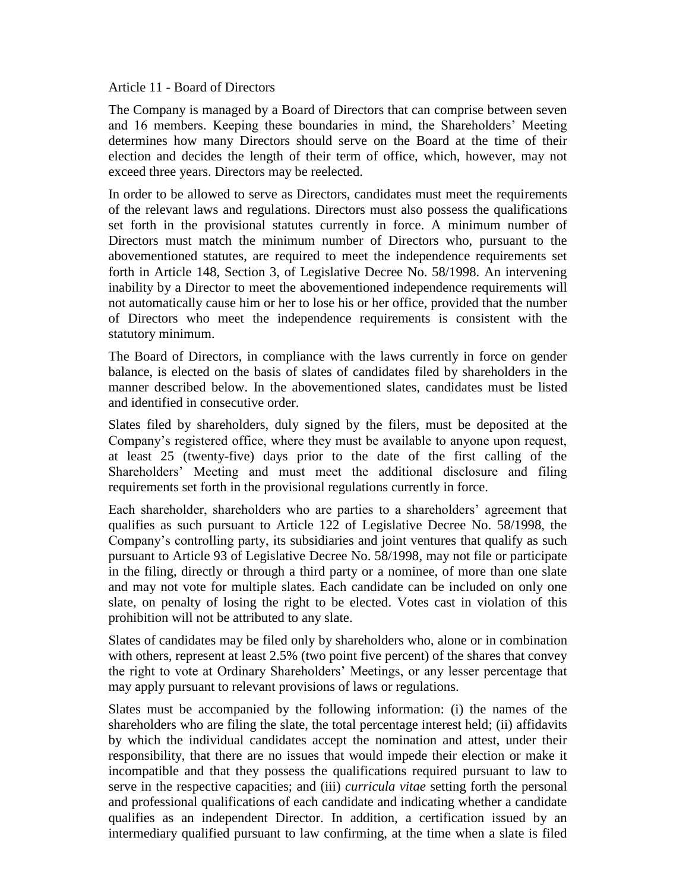#### Article 11 - Board of Directors

The Company is managed by a Board of Directors that can comprise between seven and 16 members. Keeping these boundaries in mind, the Shareholders' Meeting determines how many Directors should serve on the Board at the time of their election and decides the length of their term of office, which, however, may not exceed three years. Directors may be reelected.

In order to be allowed to serve as Directors, candidates must meet the requirements of the relevant laws and regulations. Directors must also possess the qualifications set forth in the provisional statutes currently in force. A minimum number of Directors must match the minimum number of Directors who, pursuant to the abovementioned statutes, are required to meet the independence requirements set forth in Article 148, Section 3, of Legislative Decree No. 58/1998. An intervening inability by a Director to meet the abovementioned independence requirements will not automatically cause him or her to lose his or her office, provided that the number of Directors who meet the independence requirements is consistent with the statutory minimum.

The Board of Directors, in compliance with the laws currently in force on gender balance, is elected on the basis of slates of candidates filed by shareholders in the manner described below. In the abovementioned slates, candidates must be listed and identified in consecutive order.

Slates filed by shareholders, duly signed by the filers, must be deposited at the Company's registered office, where they must be available to anyone upon request, at least 25 (twenty-five) days prior to the date of the first calling of the Shareholders' Meeting and must meet the additional disclosure and filing requirements set forth in the provisional regulations currently in force.

Each shareholder, shareholders who are parties to a shareholders' agreement that qualifies as such pursuant to Article 122 of Legislative Decree No. 58/1998, the Company's controlling party, its subsidiaries and joint ventures that qualify as such pursuant to Article 93 of Legislative Decree No. 58/1998, may not file or participate in the filing, directly or through a third party or a nominee, of more than one slate and may not vote for multiple slates. Each candidate can be included on only one slate, on penalty of losing the right to be elected. Votes cast in violation of this prohibition will not be attributed to any slate.

Slates of candidates may be filed only by shareholders who, alone or in combination with others, represent at least 2.5% (two point five percent) of the shares that convey the right to vote at Ordinary Shareholders' Meetings, or any lesser percentage that may apply pursuant to relevant provisions of laws or regulations.

Slates must be accompanied by the following information: (i) the names of the shareholders who are filing the slate, the total percentage interest held; (ii) affidavits by which the individual candidates accept the nomination and attest, under their responsibility, that there are no issues that would impede their election or make it incompatible and that they possess the qualifications required pursuant to law to serve in the respective capacities; and (iii) *curricula vitae* setting forth the personal and professional qualifications of each candidate and indicating whether a candidate qualifies as an independent Director. In addition, a certification issued by an intermediary qualified pursuant to law confirming, at the time when a slate is filed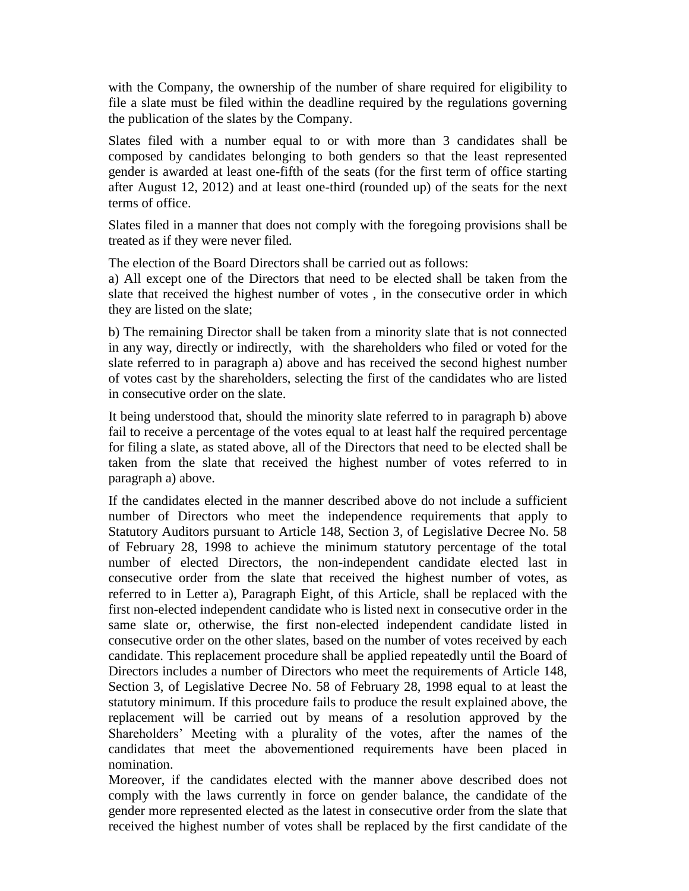with the Company, the ownership of the number of share required for eligibility to file a slate must be filed within the deadline required by the regulations governing the publication of the slates by the Company.

Slates filed with a number equal to or with more than 3 candidates shall be composed by candidates belonging to both genders so that the least represented gender is awarded at least one-fifth of the seats (for the first term of office starting after August 12, 2012) and at least one-third (rounded up) of the seats for the next terms of office.

Slates filed in a manner that does not comply with the foregoing provisions shall be treated as if they were never filed.

The election of the Board Directors shall be carried out as follows:

a) All except one of the Directors that need to be elected shall be taken from the slate that received the highest number of votes , in the consecutive order in which they are listed on the slate;

b) The remaining Director shall be taken from a minority slate that is not connected in any way, directly or indirectly, with the shareholders who filed or voted for the slate referred to in paragraph a) above and has received the second highest number of votes cast by the shareholders, selecting the first of the candidates who are listed in consecutive order on the slate.

It being understood that, should the minority slate referred to in paragraph b) above fail to receive a percentage of the votes equal to at least half the required percentage for filing a slate, as stated above, all of the Directors that need to be elected shall be taken from the slate that received the highest number of votes referred to in paragraph a) above.

If the candidates elected in the manner described above do not include a sufficient number of Directors who meet the independence requirements that apply to Statutory Auditors pursuant to Article 148, Section 3, of Legislative Decree No. 58 of February 28, 1998 to achieve the minimum statutory percentage of the total number of elected Directors, the non-independent candidate elected last in consecutive order from the slate that received the highest number of votes, as referred to in Letter a), Paragraph Eight, of this Article, shall be replaced with the first non-elected independent candidate who is listed next in consecutive order in the same slate or, otherwise, the first non-elected independent candidate listed in consecutive order on the other slates, based on the number of votes received by each candidate. This replacement procedure shall be applied repeatedly until the Board of Directors includes a number of Directors who meet the requirements of Article 148, Section 3, of Legislative Decree No. 58 of February 28, 1998 equal to at least the statutory minimum. If this procedure fails to produce the result explained above, the replacement will be carried out by means of a resolution approved by the Shareholders' Meeting with a plurality of the votes, after the names of the candidates that meet the abovementioned requirements have been placed in nomination.

Moreover, if the candidates elected with the manner above described does not comply with the laws currently in force on gender balance, the candidate of the gender more represented elected as the latest in consecutive order from the slate that received the highest number of votes shall be replaced by the first candidate of the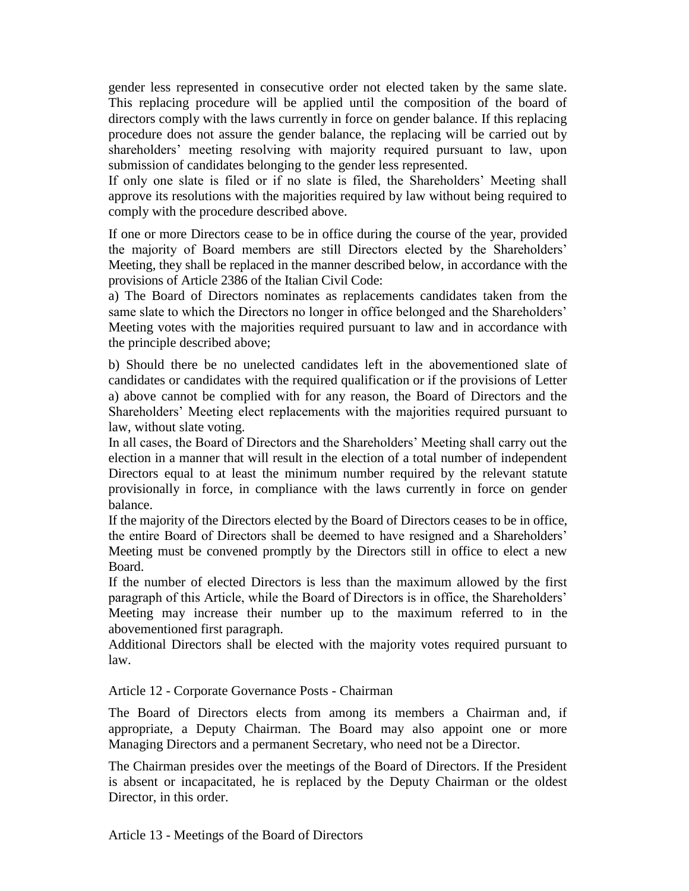gender less represented in consecutive order not elected taken by the same slate. This replacing procedure will be applied until the composition of the board of directors comply with the laws currently in force on gender balance. If this replacing procedure does not assure the gender balance, the replacing will be carried out by shareholders' meeting resolving with majority required pursuant to law, upon submission of candidates belonging to the gender less represented.

If only one slate is filed or if no slate is filed, the Shareholders' Meeting shall approve its resolutions with the majorities required by law without being required to comply with the procedure described above.

If one or more Directors cease to be in office during the course of the year, provided the majority of Board members are still Directors elected by the Shareholders' Meeting, they shall be replaced in the manner described below, in accordance with the provisions of Article 2386 of the Italian Civil Code:

a) The Board of Directors nominates as replacements candidates taken from the same slate to which the Directors no longer in office belonged and the Shareholders' Meeting votes with the majorities required pursuant to law and in accordance with the principle described above;

b) Should there be no unelected candidates left in the abovementioned slate of candidates or candidates with the required qualification or if the provisions of Letter a) above cannot be complied with for any reason, the Board of Directors and the Shareholders' Meeting elect replacements with the majorities required pursuant to law, without slate voting.

In all cases, the Board of Directors and the Shareholders' Meeting shall carry out the election in a manner that will result in the election of a total number of independent Directors equal to at least the minimum number required by the relevant statute provisionally in force, in compliance with the laws currently in force on gender balance.

If the majority of the Directors elected by the Board of Directors ceases to be in office, the entire Board of Directors shall be deemed to have resigned and a Shareholders' Meeting must be convened promptly by the Directors still in office to elect a new Board.

If the number of elected Directors is less than the maximum allowed by the first paragraph of this Article, while the Board of Directors is in office, the Shareholders' Meeting may increase their number up to the maximum referred to in the abovementioned first paragraph.

Additional Directors shall be elected with the majority votes required pursuant to law.

Article 12 - Corporate Governance Posts - Chairman

The Board of Directors elects from among its members a Chairman and, if appropriate, a Deputy Chairman. The Board may also appoint one or more Managing Directors and a permanent Secretary, who need not be a Director.

The Chairman presides over the meetings of the Board of Directors. If the President is absent or incapacitated, he is replaced by the Deputy Chairman or the oldest Director, in this order.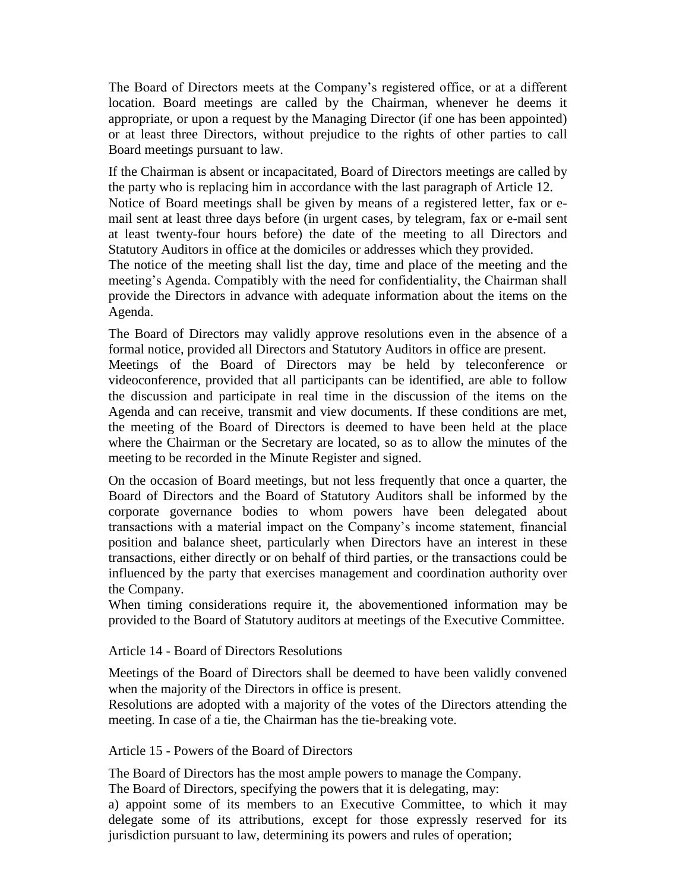The Board of Directors meets at the Company's registered office, or at a different location. Board meetings are called by the Chairman, whenever he deems it appropriate, or upon a request by the Managing Director (if one has been appointed) or at least three Directors, without prejudice to the rights of other parties to call Board meetings pursuant to law.

If the Chairman is absent or incapacitated, Board of Directors meetings are called by the party who is replacing him in accordance with the last paragraph of Article 12. Notice of Board meetings shall be given by means of a registered letter, fax or email sent at least three days before (in urgent cases, by telegram, fax or e-mail sent at least twenty-four hours before) the date of the meeting to all Directors and Statutory Auditors in office at the domiciles or addresses which they provided.

The notice of the meeting shall list the day, time and place of the meeting and the meeting's Agenda. Compatibly with the need for confidentiality, the Chairman shall provide the Directors in advance with adequate information about the items on the Agenda.

The Board of Directors may validly approve resolutions even in the absence of a formal notice, provided all Directors and Statutory Auditors in office are present.

Meetings of the Board of Directors may be held by teleconference or videoconference, provided that all participants can be identified, are able to follow the discussion and participate in real time in the discussion of the items on the Agenda and can receive, transmit and view documents. If these conditions are met, the meeting of the Board of Directors is deemed to have been held at the place where the Chairman or the Secretary are located, so as to allow the minutes of the meeting to be recorded in the Minute Register and signed.

On the occasion of Board meetings, but not less frequently that once a quarter, the Board of Directors and the Board of Statutory Auditors shall be informed by the corporate governance bodies to whom powers have been delegated about transactions with a material impact on the Company's income statement, financial position and balance sheet, particularly when Directors have an interest in these transactions, either directly or on behalf of third parties, or the transactions could be influenced by the party that exercises management and coordination authority over the Company.

When timing considerations require it, the abovementioned information may be provided to the Board of Statutory auditors at meetings of the Executive Committee.

Article 14 - Board of Directors Resolutions

Meetings of the Board of Directors shall be deemed to have been validly convened when the majority of the Directors in office is present.

Resolutions are adopted with a majority of the votes of the Directors attending the meeting. In case of a tie, the Chairman has the tie-breaking vote.

Article 15 - Powers of the Board of Directors

The Board of Directors has the most ample powers to manage the Company.

The Board of Directors, specifying the powers that it is delegating, may:

a) appoint some of its members to an Executive Committee, to which it may delegate some of its attributions, except for those expressly reserved for its jurisdiction pursuant to law, determining its powers and rules of operation;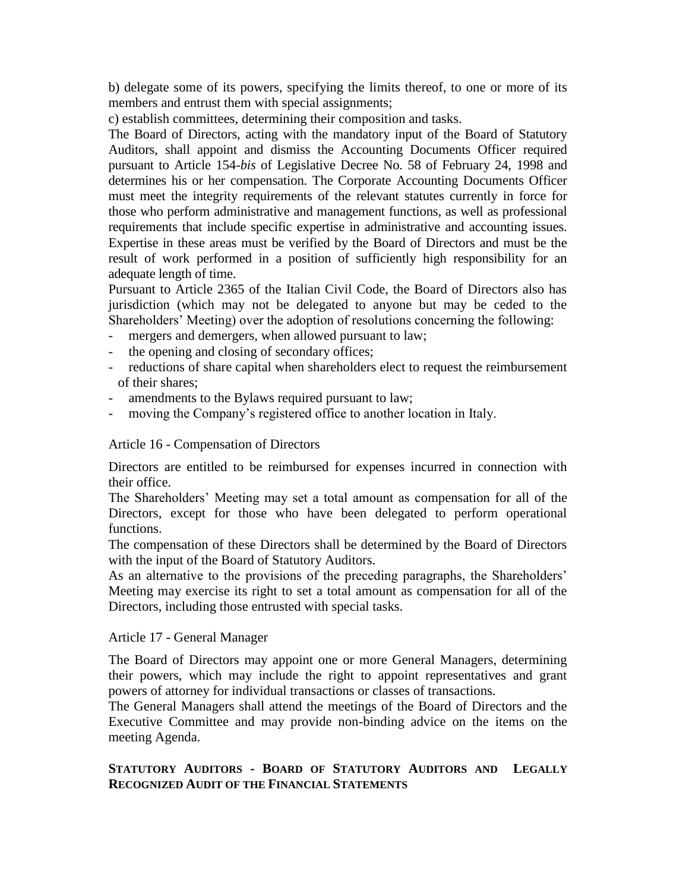b) delegate some of its powers, specifying the limits thereof, to one or more of its members and entrust them with special assignments:

c) establish committees, determining their composition and tasks.

The Board of Directors, acting with the mandatory input of the Board of Statutory Auditors, shall appoint and dismiss the Accounting Documents Officer required pursuant to Article 154-*bis* of Legislative Decree No. 58 of February 24, 1998 and determines his or her compensation. The Corporate Accounting Documents Officer must meet the integrity requirements of the relevant statutes currently in force for those who perform administrative and management functions, as well as professional requirements that include specific expertise in administrative and accounting issues. Expertise in these areas must be verified by the Board of Directors and must be the result of work performed in a position of sufficiently high responsibility for an adequate length of time.

Pursuant to Article 2365 of the Italian Civil Code, the Board of Directors also has jurisdiction (which may not be delegated to anyone but may be ceded to the Shareholders' Meeting) over the adoption of resolutions concerning the following:

- mergers and demergers, when allowed pursuant to law;
- the opening and closing of secondary offices;
- reductions of share capital when shareholders elect to request the reimbursement of their shares;
- amendments to the Bylaws required pursuant to law;
- moving the Company's registered office to another location in Italy.

### Article 16 - Compensation of Directors

Directors are entitled to be reimbursed for expenses incurred in connection with their office.

The Shareholders' Meeting may set a total amount as compensation for all of the Directors, except for those who have been delegated to perform operational functions.

The compensation of these Directors shall be determined by the Board of Directors with the input of the Board of Statutory Auditors.

As an alternative to the provisions of the preceding paragraphs, the Shareholders' Meeting may exercise its right to set a total amount as compensation for all of the Directors, including those entrusted with special tasks.

### Article 17 - General Manager

The Board of Directors may appoint one or more General Managers, determining their powers, which may include the right to appoint representatives and grant powers of attorney for individual transactions or classes of transactions.

The General Managers shall attend the meetings of the Board of Directors and the Executive Committee and may provide non-binding advice on the items on the meeting Agenda.

# **STATUTORY AUDITORS - BOARD OF STATUTORY AUDITORS AND LEGALLY RECOGNIZED AUDIT OF THE FINANCIAL STATEMENTS**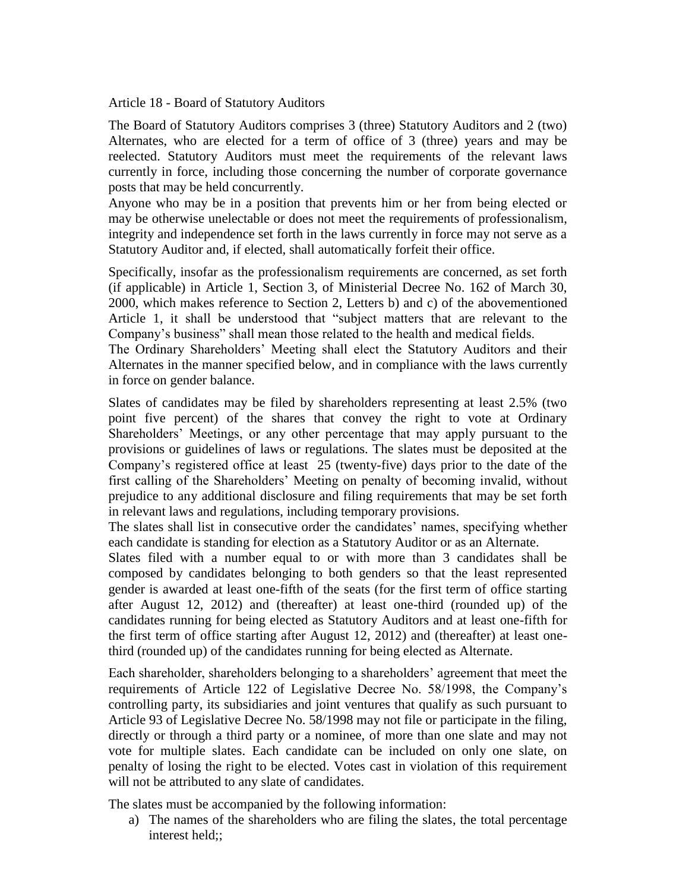Article 18 - Board of Statutory Auditors

The Board of Statutory Auditors comprises 3 (three) Statutory Auditors and 2 (two) Alternates, who are elected for a term of office of 3 (three) years and may be reelected. Statutory Auditors must meet the requirements of the relevant laws currently in force, including those concerning the number of corporate governance posts that may be held concurrently.

Anyone who may be in a position that prevents him or her from being elected or may be otherwise unelectable or does not meet the requirements of professionalism, integrity and independence set forth in the laws currently in force may not serve as a Statutory Auditor and, if elected, shall automatically forfeit their office.

Specifically, insofar as the professionalism requirements are concerned, as set forth (if applicable) in Article 1, Section 3, of Ministerial Decree No. 162 of March 30, 2000, which makes reference to Section 2, Letters b) and c) of the abovementioned Article 1, it shall be understood that "subject matters that are relevant to the Company's business" shall mean those related to the health and medical fields.

The Ordinary Shareholders' Meeting shall elect the Statutory Auditors and their Alternates in the manner specified below, and in compliance with the laws currently in force on gender balance.

Slates of candidates may be filed by shareholders representing at least 2.5% (two point five percent) of the shares that convey the right to vote at Ordinary Shareholders' Meetings, or any other percentage that may apply pursuant to the provisions or guidelines of laws or regulations. The slates must be deposited at the Company's registered office at least 25 (twenty-five) days prior to the date of the first calling of the Shareholders' Meeting on penalty of becoming invalid, without prejudice to any additional disclosure and filing requirements that may be set forth in relevant laws and regulations, including temporary provisions.

The slates shall list in consecutive order the candidates' names, specifying whether each candidate is standing for election as a Statutory Auditor or as an Alternate.

Slates filed with a number equal to or with more than 3 candidates shall be composed by candidates belonging to both genders so that the least represented gender is awarded at least one-fifth of the seats (for the first term of office starting after August 12, 2012) and (thereafter) at least one-third (rounded up) of the candidates running for being elected as Statutory Auditors and at least one-fifth for the first term of office starting after August 12, 2012) and (thereafter) at least onethird (rounded up) of the candidates running for being elected as Alternate.

Each shareholder, shareholders belonging to a shareholders' agreement that meet the requirements of Article 122 of Legislative Decree No. 58/1998, the Company's controlling party, its subsidiaries and joint ventures that qualify as such pursuant to Article 93 of Legislative Decree No. 58/1998 may not file or participate in the filing, directly or through a third party or a nominee, of more than one slate and may not vote for multiple slates. Each candidate can be included on only one slate, on penalty of losing the right to be elected. Votes cast in violation of this requirement will not be attributed to any slate of candidates.

The slates must be accompanied by the following information:

a) The names of the shareholders who are filing the slates, the total percentage interest held;;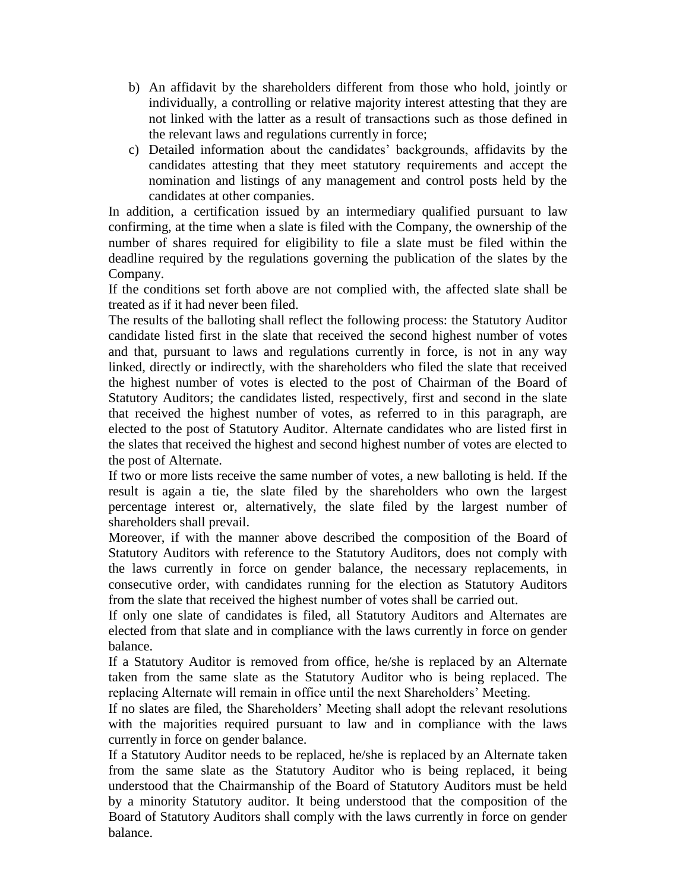- b) An affidavit by the shareholders different from those who hold, jointly or individually, a controlling or relative majority interest attesting that they are not linked with the latter as a result of transactions such as those defined in the relevant laws and regulations currently in force;
- c) Detailed information about the candidates' backgrounds, affidavits by the candidates attesting that they meet statutory requirements and accept the nomination and listings of any management and control posts held by the candidates at other companies.

In addition, a certification issued by an intermediary qualified pursuant to law confirming, at the time when a slate is filed with the Company, the ownership of the number of shares required for eligibility to file a slate must be filed within the deadline required by the regulations governing the publication of the slates by the Company.

If the conditions set forth above are not complied with, the affected slate shall be treated as if it had never been filed.

The results of the balloting shall reflect the following process: the Statutory Auditor candidate listed first in the slate that received the second highest number of votes and that, pursuant to laws and regulations currently in force, is not in any way linked, directly or indirectly, with the shareholders who filed the slate that received the highest number of votes is elected to the post of Chairman of the Board of Statutory Auditors; the candidates listed, respectively, first and second in the slate that received the highest number of votes, as referred to in this paragraph, are elected to the post of Statutory Auditor. Alternate candidates who are listed first in the slates that received the highest and second highest number of votes are elected to the post of Alternate.

If two or more lists receive the same number of votes, a new balloting is held. If the result is again a tie, the slate filed by the shareholders who own the largest percentage interest or, alternatively, the slate filed by the largest number of shareholders shall prevail.

Moreover, if with the manner above described the composition of the Board of Statutory Auditors with reference to the Statutory Auditors, does not comply with the laws currently in force on gender balance, the necessary replacements, in consecutive order, with candidates running for the election as Statutory Auditors from the slate that received the highest number of votes shall be carried out.

If only one slate of candidates is filed, all Statutory Auditors and Alternates are elected from that slate and in compliance with the laws currently in force on gender balance.

If a Statutory Auditor is removed from office, he/she is replaced by an Alternate taken from the same slate as the Statutory Auditor who is being replaced. The replacing Alternate will remain in office until the next Shareholders' Meeting.

If no slates are filed, the Shareholders' Meeting shall adopt the relevant resolutions with the majorities required pursuant to law and in compliance with the laws currently in force on gender balance.

If a Statutory Auditor needs to be replaced, he/she is replaced by an Alternate taken from the same slate as the Statutory Auditor who is being replaced, it being understood that the Chairmanship of the Board of Statutory Auditors must be held by a minority Statutory auditor. It being understood that the composition of the Board of Statutory Auditors shall comply with the laws currently in force on gender balance.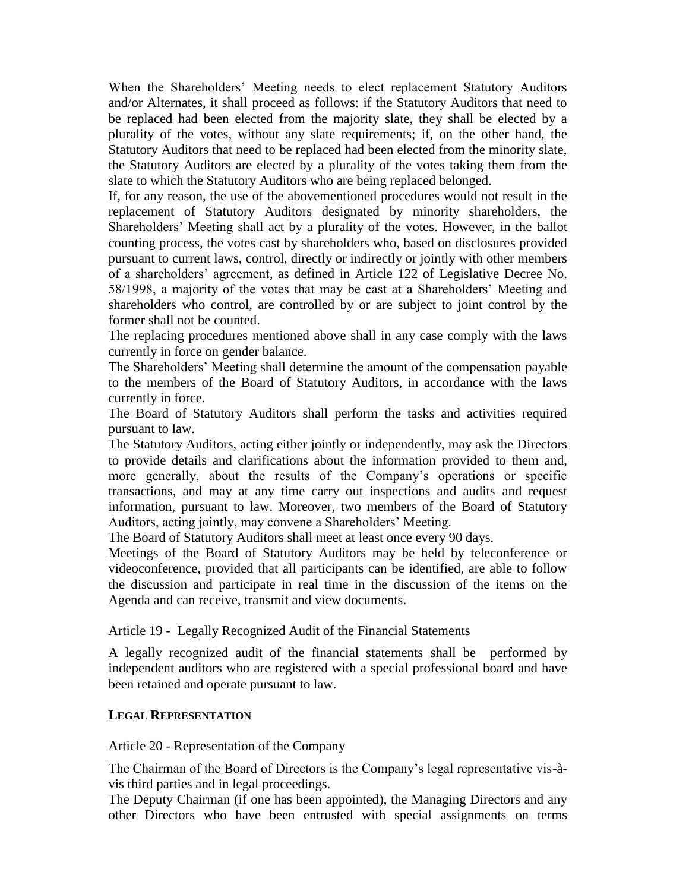When the Shareholders' Meeting needs to elect replacement Statutory Auditors and/or Alternates, it shall proceed as follows: if the Statutory Auditors that need to be replaced had been elected from the majority slate, they shall be elected by a plurality of the votes, without any slate requirements; if, on the other hand, the Statutory Auditors that need to be replaced had been elected from the minority slate, the Statutory Auditors are elected by a plurality of the votes taking them from the slate to which the Statutory Auditors who are being replaced belonged.

If, for any reason, the use of the abovementioned procedures would not result in the replacement of Statutory Auditors designated by minority shareholders, the Shareholders' Meeting shall act by a plurality of the votes. However, in the ballot counting process, the votes cast by shareholders who, based on disclosures provided pursuant to current laws, control, directly or indirectly or jointly with other members of a shareholders' agreement, as defined in Article 122 of Legislative Decree No. 58/1998, a majority of the votes that may be cast at a Shareholders' Meeting and shareholders who control, are controlled by or are subject to joint control by the former shall not be counted.

The replacing procedures mentioned above shall in any case comply with the laws currently in force on gender balance.

The Shareholders' Meeting shall determine the amount of the compensation payable to the members of the Board of Statutory Auditors, in accordance with the laws currently in force.

The Board of Statutory Auditors shall perform the tasks and activities required pursuant to law.

The Statutory Auditors, acting either jointly or independently, may ask the Directors to provide details and clarifications about the information provided to them and, more generally, about the results of the Company's operations or specific transactions, and may at any time carry out inspections and audits and request information, pursuant to law. Moreover, two members of the Board of Statutory Auditors, acting jointly, may convene a Shareholders' Meeting.

The Board of Statutory Auditors shall meet at least once every 90 days.

Meetings of the Board of Statutory Auditors may be held by teleconference or videoconference, provided that all participants can be identified, are able to follow the discussion and participate in real time in the discussion of the items on the Agenda and can receive, transmit and view documents.

Article 19 - Legally Recognized Audit of the Financial Statements

A legally recognized audit of the financial statements shall be performed by independent auditors who are registered with a special professional board and have been retained and operate pursuant to law.

### **LEGAL REPRESENTATION**

Article 20 - Representation of the Company

The Chairman of the Board of Directors is the Company's legal representative vis-àvis third parties and in legal proceedings.

The Deputy Chairman (if one has been appointed), the Managing Directors and any other Directors who have been entrusted with special assignments on terms